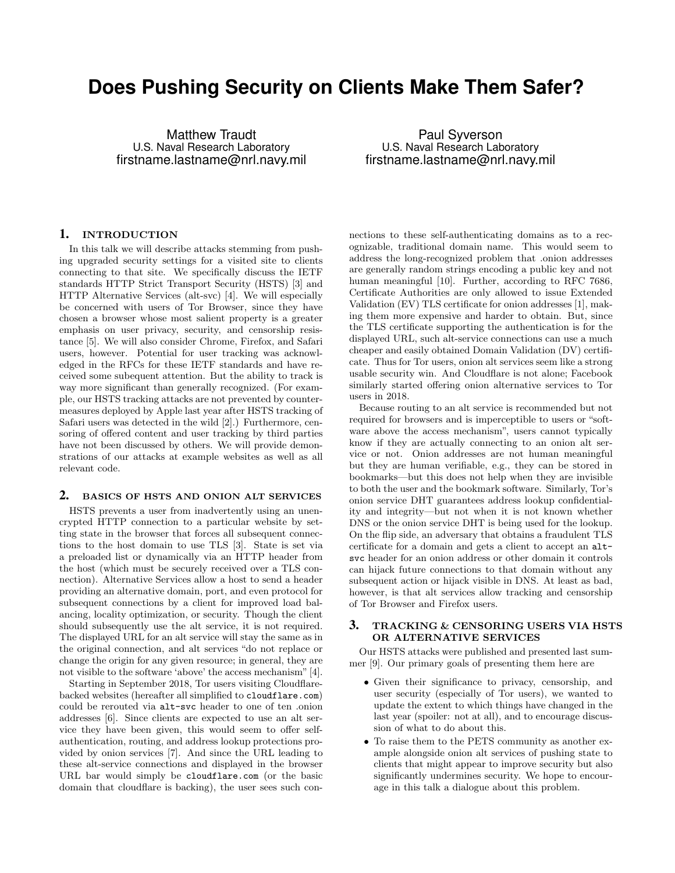# **Does Pushing Security on Clients Make Them Safer?**

Matthew Traudt U.S. Naval Research Laboratory firstname.lastname@nrl.navy.mil

Paul Syverson U.S. Naval Research Laboratory firstname.lastname@nrl.navy.mil

## 1. INTRODUCTION

In this talk we will describe attacks stemming from pushing upgraded security settings for a visited site to clients connecting to that site. We specifically discuss the IETF standards HTTP Strict Transport Security (HSTS) [3] and HTTP Alternative Services (alt-svc) [4]. We will especially be concerned with users of Tor Browser, since they have chosen a browser whose most salient property is a greater emphasis on user privacy, security, and censorship resistance [5]. We will also consider Chrome, Firefox, and Safari users, however. Potential for user tracking was acknowledged in the RFCs for these IETF standards and have received some subequent attention. But the ability to track is way more significant than generally recognized. (For example, our HSTS tracking attacks are not prevented by countermeasures deployed by Apple last year after HSTS tracking of Safari users was detected in the wild [2].) Furthermore, censoring of offered content and user tracking by third parties have not been discussed by others. We will provide demonstrations of our attacks at example websites as well as all relevant code.

#### 2. BASICS OF HSTS AND ONION ALT SERVICES

HSTS prevents a user from inadvertently using an unencrypted HTTP connection to a particular website by setting state in the browser that forces all subsequent connections to the host domain to use TLS [3]. State is set via a preloaded list or dynamically via an HTTP header from the host (which must be securely received over a TLS connection). Alternative Services allow a host to send a header providing an alternative domain, port, and even protocol for subsequent connections by a client for improved load balancing, locality optimization, or security. Though the client should subsequently use the alt service, it is not required. The displayed URL for an alt service will stay the same as in the original connection, and alt services "do not replace or change the origin for any given resource; in general, they are not visible to the software 'above' the access mechanism"[4].

Starting in September 2018, Tor users visiting Cloudflarebacked websites (hereafter all simplified to cloudflare.com) could be rerouted via alt-svc header to one of ten .onion addresses [6]. Since clients are expected to use an alt service they have been given, this would seem to offer selfauthentication, routing, and address lookup protections provided by onion services [7]. And since the URL leading to these alt-service connections and displayed in the browser URL bar would simply be cloudflare.com (or the basic domain that cloudflare is backing), the user sees such connections to these self-authenticating domains as to a recognizable, traditional domain name. This would seem to address the long-recognized problem that .onion addresses are generally random strings encoding a public key and not human meaningful [10]. Further, according to RFC 7686, Certificate Authorities are only allowed to issue Extended Validation (EV) TLS certificate for onion addresses [1], making them more expensive and harder to obtain. But, since the TLS certificate supporting the authentication is for the displayed URL, such alt-service connections can use a much cheaper and easily obtained Domain Validation (DV) certificate. Thus for Tor users, onion alt services seem like a strong usable security win. And Cloudflare is not alone; Facebook similarly started offering onion alternative services to Tor users in 2018.

Because routing to an alt service is recommended but not required for browsers and is imperceptible to users or "software above the access mechanism", users cannot typically know if they are actually connecting to an onion alt service or not. Onion addresses are not human meaningful but they are human verifiable, e.g., they can be stored in bookmarks—but this does not help when they are invisible to both the user and the bookmark software. Similarly, Tor's onion service DHT guarantees address lookup confidentiality and integrity—but not when it is not known whether DNS or the onion service DHT is being used for the lookup. On the flip side, an adversary that obtains a fraudulent TLS certificate for a domain and gets a client to accept an altsvc header for an onion address or other domain it controls can hijack future connections to that domain without any subsequent action or hijack visible in DNS. At least as bad, however, is that alt services allow tracking and censorship of Tor Browser and Firefox users.

## 3. TRACKING & CENSORING USERS VIA HSTS OR ALTERNATIVE SERVICES

Our HSTS attacks were published and presented last summer [9]. Our primary goals of presenting them here are

- Given their significance to privacy, censorship, and user security (especially of Tor users), we wanted to update the extent to which things have changed in the last year (spoiler: not at all), and to encourage discussion of what to do about this.
- To raise them to the PETS community as another example alongside onion alt services of pushing state to clients that might appear to improve security but also significantly undermines security. We hope to encourage in this talk a dialogue about this problem.